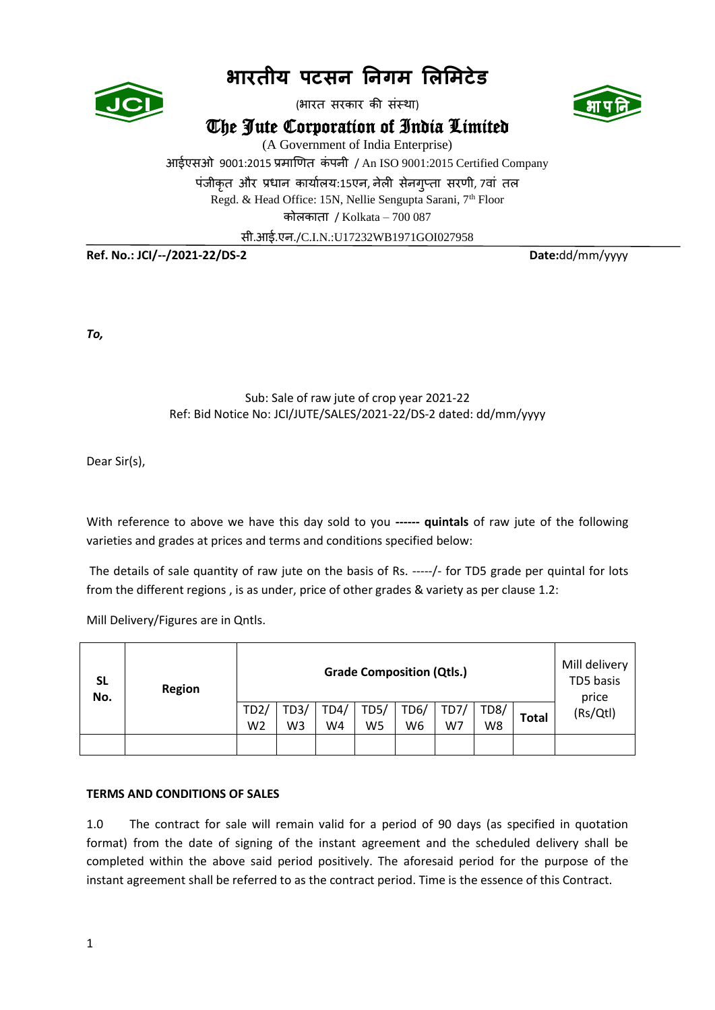

# **भारतीय पटसन ननगम लिलमटेड**

(भारत सरकार की संस्था)





(A Government of India Enterprise)

आईएसओ 9001:2015 प्रमाणित कं पनी / An ISO 9001:2015 Certified Company

पंजीकृत और प्रधान कार्यालय:15एन, नेली सेनगप्ता सरणी, 7वां तल

Regd. & Head Office: 15N, Nellie Sengupta Sarani, 7<sup>th</sup> Floor

कोलकाता / Kolkata – 700 087

सी.आई.एन./C.I.N.:U17232WB1971GOI027958

**Ref. No.: JCI/--/2021-22/DS-2 Date:**dd/mm/yyyy

*To,* 

## Sub: Sale of raw jute of crop year 2021-22 Ref: Bid Notice No: JCI/JUTE/SALES/2021-22/DS-2 dated: dd/mm/yyyy

Dear Sir(s),

With reference to above we have this day sold to you **------ quintals** of raw jute of the following varieties and grades at prices and terms and conditions specified below:

The details of sale quantity of raw jute on the basis of Rs. -----/- for TD5 grade per quintal for lots from the different regions , is as under, price of other grades & variety as per clause 1.2:

Mill Delivery/Figures are in Qntls.

| SL<br>No. | <b>Region</b> | <b>Grade Composition (Qtls.)</b> |      |      |      |                |     |      |              | Mill delivery<br>TD5 basis<br>price |
|-----------|---------------|----------------------------------|------|------|------|----------------|-----|------|--------------|-------------------------------------|
|           |               | TD2/                             | TD3/ | TD4/ | TD5/ | TD6/           | TD7 | TD8/ | <b>Total</b> | (Rs/Qtl)                            |
|           |               | W <sub>2</sub>                   | W3   | W4   | W5   | W <sub>6</sub> | W7  | W8   |              |                                     |
|           |               |                                  |      |      |      |                |     |      |              |                                     |

### **TERMS AND CONDITIONS OF SALES**

1.0 The contract for sale will remain valid for a period of 90 days (as specified in quotation format) from the date of signing of the instant agreement and the scheduled delivery shall be completed within the above said period positively. The aforesaid period for the purpose of the instant agreement shall be referred to as the contract period. Time is the essence of this Contract.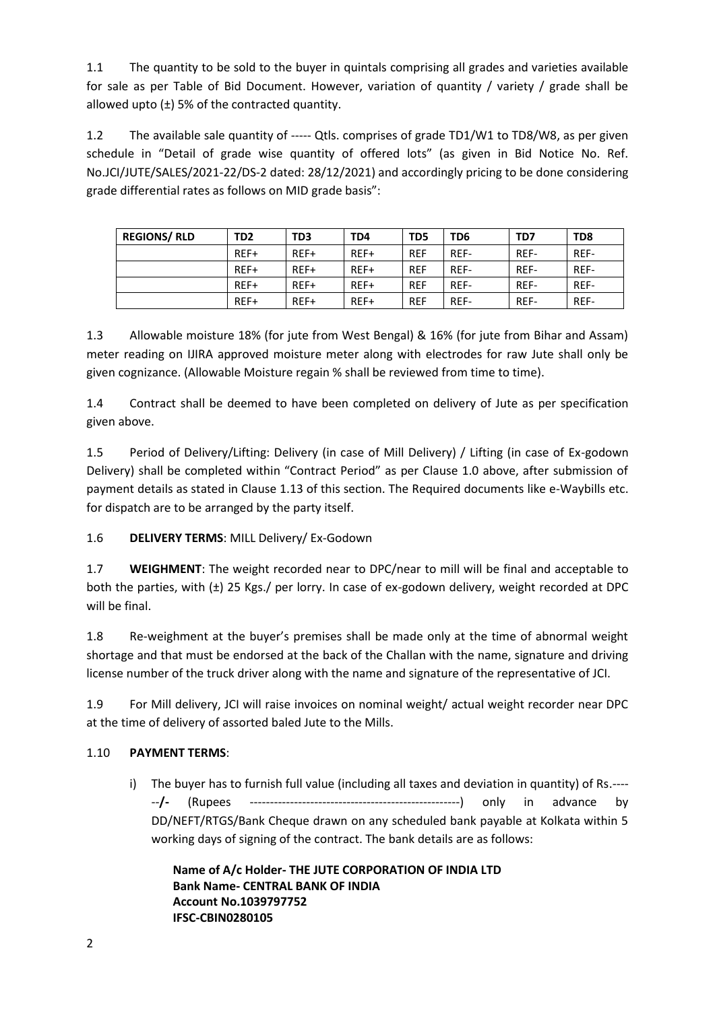1.1 The quantity to be sold to the buyer in quintals comprising all grades and varieties available for sale as per Table of Bid Document. However, variation of quantity / variety / grade shall be allowed upto  $(\pm)$  5% of the contracted quantity.

1.2 The available sale quantity of ----- Qtls. comprises of grade TD1/W1 to TD8/W8, as per given schedule in "Detail of grade wise quantity of offered lots" (as given in Bid Notice No. Ref. No.JCI/JUTE/SALES/2021-22/DS-2 dated: 28/12/2021) and accordingly pricing to be done considering grade differential rates as follows on MID grade basis":

| <b>REGIONS/ RLD</b> | TD <sub>2</sub> | TD3  | TD4  | T <sub>D</sub> <sub>5</sub> | TD6  | TD7  | TD <sub>8</sub> |
|---------------------|-----------------|------|------|-----------------------------|------|------|-----------------|
|                     | REF+            | REF+ | REF+ | <b>REF</b>                  | REF- | REF- | REF-            |
|                     | REF+            | REF+ | REF+ | <b>REF</b>                  | REF- | REF- | REF-            |
|                     | REF+            | REF+ | REF+ | <b>REF</b>                  | REF- | REF- | REF-            |
|                     | REF+            | REF+ | REF+ | <b>REF</b>                  | REF- | REF- | REF-            |

1.3 Allowable moisture 18% (for jute from West Bengal) & 16% (for jute from Bihar and Assam) meter reading on IJIRA approved moisture meter along with electrodes for raw Jute shall only be given cognizance. (Allowable Moisture regain % shall be reviewed from time to time).

1.4 Contract shall be deemed to have been completed on delivery of Jute as per specification given above.

1.5 Period of Delivery/Lifting: Delivery (in case of Mill Delivery) / Lifting (in case of Ex-godown Delivery) shall be completed within "Contract Period" as per Clause 1.0 above, after submission of payment details as stated in Clause 1.13 of this section. The Required documents like e-Waybills etc. for dispatch are to be arranged by the party itself.

1.6 **DELIVERY TERMS**: MILL Delivery/ Ex-Godown

1.7 **WEIGHMENT**: The weight recorded near to DPC/near to mill will be final and acceptable to both the parties, with (±) 25 Kgs./ per lorry. In case of ex-godown delivery, weight recorded at DPC will be final.

1.8 Re-weighment at the buyer's premises shall be made only at the time of abnormal weight shortage and that must be endorsed at the back of the Challan with the name, signature and driving license number of the truck driver along with the name and signature of the representative of JCI.

1.9 For Mill delivery, JCI will raise invoices on nominal weight/ actual weight recorder near DPC at the time of delivery of assorted baled Jute to the Mills.

## 1.10 **PAYMENT TERMS**:

i) The buyer has to furnish full value (including all taxes and deviation in quantity) of Rs.---- --**/-** (Rupees ----------------------------------------------------) only in advance by DD/NEFT/RTGS/Bank Cheque drawn on any scheduled bank payable at Kolkata within 5 working days of signing of the contract. The bank details are as follows:

**Name of A/c Holder- THE JUTE CORPORATION OF INDIA LTD Bank Name- CENTRAL BANK OF INDIA Account No.1039797752 IFSC-CBIN0280105**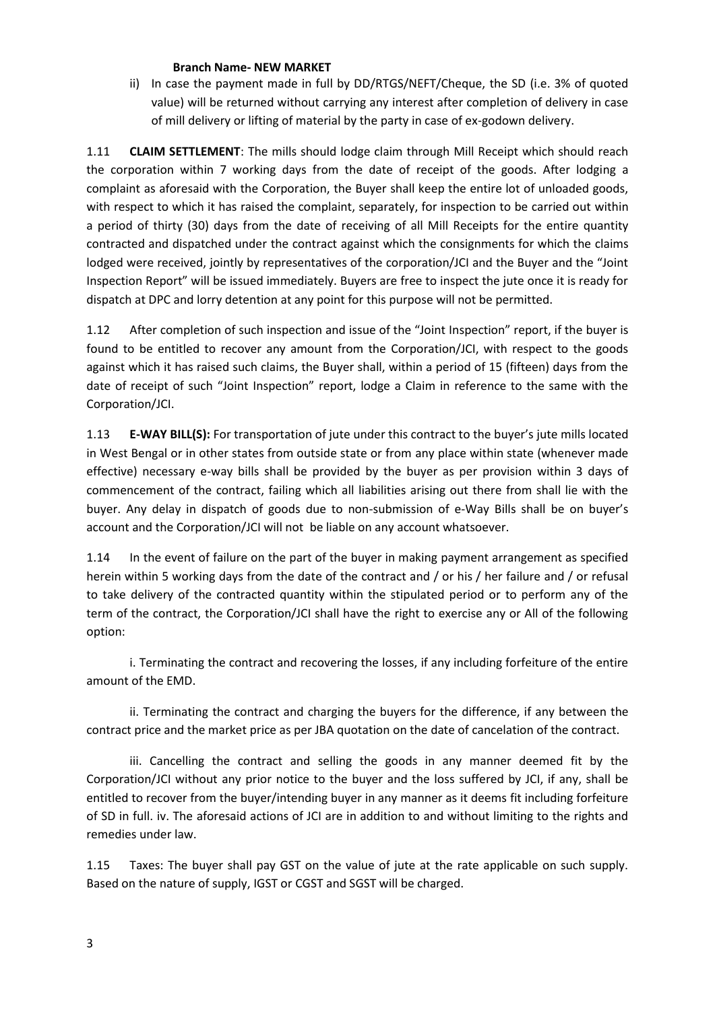#### **Branch Name- NEW MARKET**

ii) In case the payment made in full by DD/RTGS/NEFT/Cheque, the SD (i.e. 3% of quoted value) will be returned without carrying any interest after completion of delivery in case of mill delivery or lifting of material by the party in case of ex-godown delivery.

1.11 **CLAIM SETTLEMENT**: The mills should lodge claim through Mill Receipt which should reach the corporation within 7 working days from the date of receipt of the goods. After lodging a complaint as aforesaid with the Corporation, the Buyer shall keep the entire lot of unloaded goods, with respect to which it has raised the complaint, separately, for inspection to be carried out within a period of thirty (30) days from the date of receiving of all Mill Receipts for the entire quantity contracted and dispatched under the contract against which the consignments for which the claims lodged were received, jointly by representatives of the corporation/JCI and the Buyer and the "Joint Inspection Report" will be issued immediately. Buyers are free to inspect the jute once it is ready for dispatch at DPC and lorry detention at any point for this purpose will not be permitted.

1.12 After completion of such inspection and issue of the "Joint Inspection" report, if the buyer is found to be entitled to recover any amount from the Corporation/JCI, with respect to the goods against which it has raised such claims, the Buyer shall, within a period of 15 (fifteen) days from the date of receipt of such "Joint Inspection" report, lodge a Claim in reference to the same with the Corporation/JCI.

1.13 **E-WAY BILL(S):** For transportation of jute under this contract to the buyer's jute mills located in West Bengal or in other states from outside state or from any place within state (whenever made effective) necessary e-way bills shall be provided by the buyer as per provision within 3 days of commencement of the contract, failing which all liabilities arising out there from shall lie with the buyer. Any delay in dispatch of goods due to non-submission of e-Way Bills shall be on buyer's account and the Corporation/JCI will not be liable on any account whatsoever.

1.14 In the event of failure on the part of the buyer in making payment arrangement as specified herein within 5 working days from the date of the contract and / or his / her failure and / or refusal to take delivery of the contracted quantity within the stipulated period or to perform any of the term of the contract, the Corporation/JCI shall have the right to exercise any or All of the following option:

i. Terminating the contract and recovering the losses, if any including forfeiture of the entire amount of the EMD.

ii. Terminating the contract and charging the buyers for the difference, if any between the contract price and the market price as per JBA quotation on the date of cancelation of the contract.

iii. Cancelling the contract and selling the goods in any manner deemed fit by the Corporation/JCI without any prior notice to the buyer and the loss suffered by JCI, if any, shall be entitled to recover from the buyer/intending buyer in any manner as it deems fit including forfeiture of SD in full. iv. The aforesaid actions of JCI are in addition to and without limiting to the rights and remedies under law.

1.15 Taxes: The buyer shall pay GST on the value of jute at the rate applicable on such supply. Based on the nature of supply, IGST or CGST and SGST will be charged.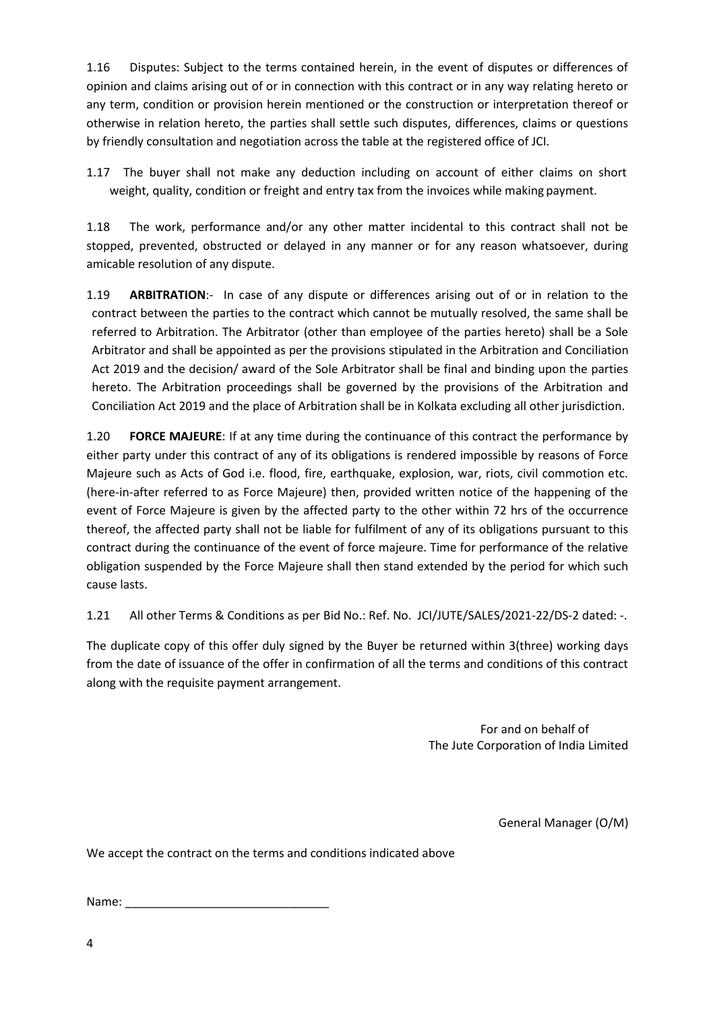1.16 Disputes: Subject to the terms contained herein, in the event of disputes or differences of opinion and claims arising out of or in connection with this contract or in any way relating hereto or any term, condition or provision herein mentioned or the construction or interpretation thereof or otherwise in relation hereto, the parties shall settle such disputes, differences, claims or questions by friendly consultation and negotiation across the table at the registered office of JCI.

1.17 The buyer shall not make any deduction including on account of either claims on short weight, quality, condition or freight and entry tax from the invoices while making payment.

1.18 The work, performance and/or any other matter incidental to this contract shall not be stopped, prevented, obstructed or delayed in any manner or for any reason whatsoever, during amicable resolution of any dispute.

1.19 **ARBITRATION**:- In case of any dispute or differences arising out of or in relation to the contract between the parties to the contract which cannot be mutually resolved, the same shall be referred to Arbitration. The Arbitrator (other than employee of the parties hereto) shall be a Sole Arbitrator and shall be appointed as per the provisions stipulated in the Arbitration and Conciliation Act 2019 and the decision/ award of the Sole Arbitrator shall be final and binding upon the parties hereto. The Arbitration proceedings shall be governed by the provisions of the Arbitration and Conciliation Act 2019 and the place of Arbitration shall be in Kolkata excluding all other jurisdiction.

1.20 **FORCE MAJEURE**: If at any time during the continuance of this contract the performance by either party under this contract of any of its obligations is rendered impossible by reasons of Force Majeure such as Acts of God i.e. flood, fire, earthquake, explosion, war, riots, civil commotion etc. (here-in-after referred to as Force Majeure) then, provided written notice of the happening of the event of Force Majeure is given by the affected party to the other within 72 hrs of the occurrence thereof, the affected party shall not be liable for fulfilment of any of its obligations pursuant to this contract during the continuance of the event of force majeure. Time for performance of the relative obligation suspended by the Force Majeure shall then stand extended by the period for which such cause lasts.

1.21 All other Terms & Conditions as per Bid No.: Ref. No. JCI/JUTE/SALES/2021-22/DS-2 dated: -.

The duplicate copy of this offer duly signed by the Buyer be returned within 3(three) working days from the date of issuance of the offer in confirmation of all the terms and conditions of this contract along with the requisite payment arrangement.

> For and on behalf of The Jute Corporation of India Limited

> > General Manager (O/M)

We accept the contract on the terms and conditions indicated above

Name: